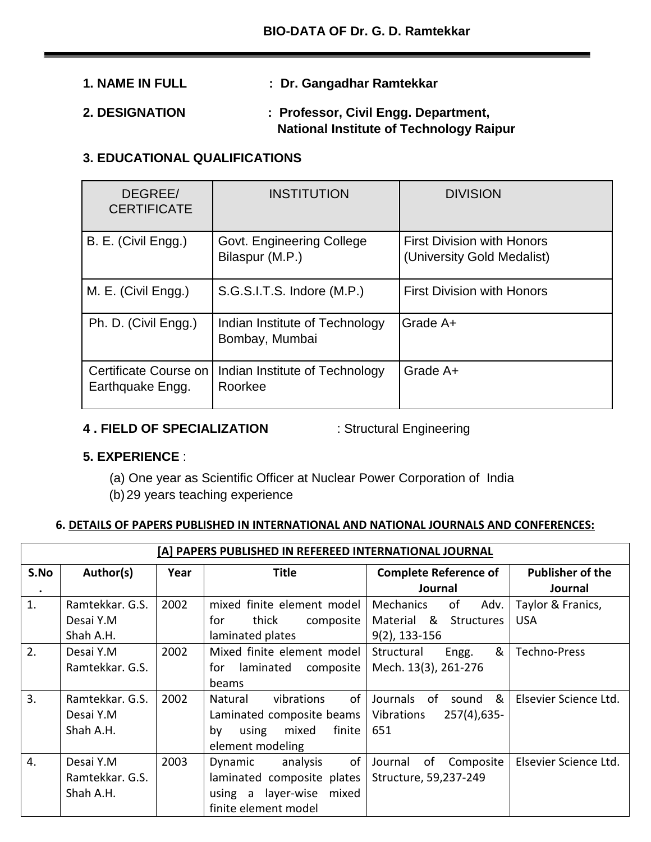# **1. NAME IN FULL : Dr. Gangadhar Ramtekkar**

## **2. DESIGNATION : Professor, Civil Engg. Department, National Institute of Technology Raipur**

## **3. EDUCATIONAL QUALIFICATIONS**

| DEGREE/<br><b>CERTIFICATE</b>             | <b>INSTITUTION</b>                               | <b>DIVISION</b>                                                 |
|-------------------------------------------|--------------------------------------------------|-----------------------------------------------------------------|
| B. E. (Civil Engg.)                       | Govt. Engineering College<br>Bilaspur (M.P.)     | <b>First Division with Honors</b><br>(University Gold Medalist) |
| M. E. (Civil Engg.)                       | S.G.S.I.T.S. Indore (M.P.)                       | <b>First Division with Honors</b>                               |
| Ph. D. (Civil Engg.)                      | Indian Institute of Technology<br>Bombay, Mumbai | Grade A+                                                        |
| Certificate Course on<br>Earthquake Engg. | Indian Institute of Technology<br>Roorkee        | Grade A+                                                        |

### **4 . FIELD OF SPECIALIZATION** : Structural Engineering

## **5. EXPERIENCE** :

(a) One year as Scientific Officer at Nuclear Power Corporation of India (b)29 years teaching experience

### **6. DETAILS OF PAPERS PUBLISHED IN INTERNATIONAL AND NATIONAL JOURNALS AND CONFERENCES:**

| [A] PAPERS PUBLISHED IN REFEREED INTERNATIONAL JOURNAL |                 |      |                                |                                |                         |
|--------------------------------------------------------|-----------------|------|--------------------------------|--------------------------------|-------------------------|
| S.No                                                   | Author(s)       | Year | <b>Title</b>                   | <b>Complete Reference of</b>   | <b>Publisher of the</b> |
| $\bullet$                                              |                 |      |                                | Journal                        | Journal                 |
| 1.                                                     | Ramtekkar, G.S. | 2002 | mixed finite element model     | <b>Mechanics</b><br>of<br>Adv. | Taylor & Franics,       |
|                                                        | Desai Y.M       |      | thick<br>for<br>composite      | Material &<br>Structures       | <b>USA</b>              |
|                                                        | Shah A.H.       |      | laminated plates               | $9(2)$ , 133-156               |                         |
| 2.                                                     | Desai Y.M       | 2002 | Mixed finite element model     | &<br>Structural<br>Engg.       | <b>Techno-Press</b>     |
|                                                        | Ramtekkar. G.S. |      | laminated<br>for<br>composite  | Mech. 13(3), 261-276           |                         |
|                                                        |                 |      | beams                          |                                |                         |
| 3.                                                     | Ramtekkar, G.S. | 2002 | 0f<br>vibrations<br>Natural    | &<br>Journals of<br>sound      | Elsevier Science Ltd.   |
|                                                        | Desai Y.M       |      | Laminated composite beams      | $257(4)$ , 635-<br>Vibrations  |                         |
|                                                        | Shah A.H.       |      | finite<br>mixed<br>by<br>using | 651                            |                         |
|                                                        |                 |      | element modeling               |                                |                         |
| 4.                                                     | Desai Y.M       | 2003 | of<br>Dynamic<br>analysis      | Journal<br>of<br>Composite     | Elsevier Science Ltd.   |
|                                                        | Ramtekkar. G.S. |      | laminated composite plates     | Structure, 59,237-249          |                         |
|                                                        | Shah A.H.       |      | using a layer-wise<br>mixed    |                                |                         |
|                                                        |                 |      | finite element model           |                                |                         |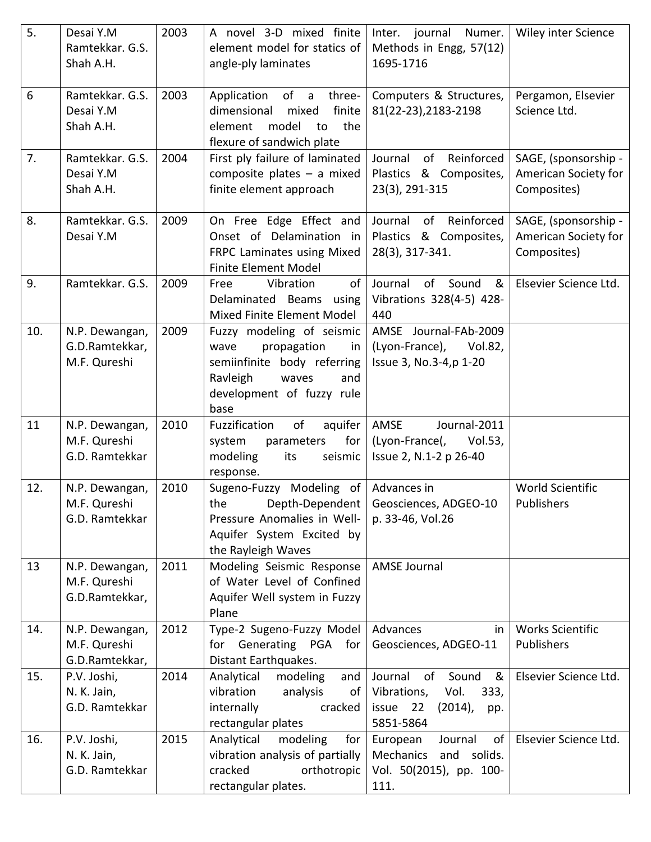| 5.  | Desai Y.M<br>Ramtekkar. G.S.<br>Shah A.H.        | 2003 | A novel 3-D mixed finite<br>element model for statics of<br>angle-ply laminates                                                                        | Inter. journal Numer.<br>Methods in Engg, 57(12)<br>1695-1716                                               | Wiley inter Science                                         |
|-----|--------------------------------------------------|------|--------------------------------------------------------------------------------------------------------------------------------------------------------|-------------------------------------------------------------------------------------------------------------|-------------------------------------------------------------|
| 6   | Ramtekkar. G.S.<br>Desai Y.M<br>Shah A.H.        | 2003 | of a<br>three-<br>Application<br>finite<br>dimensional<br>mixed<br>the<br>model<br>to<br>element<br>flexure of sandwich plate                          | Computers & Structures,<br>81(22-23), 2183-2198                                                             | Pergamon, Elsevier<br>Science Ltd.                          |
| 7.  | Ramtekkar, G.S.<br>Desai Y.M<br>Shah A.H.        | 2004 | First ply failure of laminated<br>composite plates $-$ a mixed<br>finite element approach                                                              | of Reinforced<br>Journal<br>Plastics & Composites,<br>23(3), 291-315                                        | SAGE, (sponsorship -<br>American Society for<br>Composites) |
| 8.  | Ramtekkar. G.S.<br>Desai Y.M                     | 2009 | On Free Edge Effect and<br>Onset of Delamination in<br>FRPC Laminates using Mixed<br><b>Finite Element Model</b>                                       | of Reinforced<br>Journal<br>Plastics & Composites,<br>28(3), 317-341.                                       | SAGE, (sponsorship -<br>American Society for<br>Composites) |
| 9.  | Ramtekkar. G.S.                                  | 2009 | of<br>Vibration<br>Free<br>Delaminated Beams<br>using<br>Mixed Finite Element Model                                                                    | Journal<br>of Sound<br>&<br>Vibrations 328(4-5) 428-<br>440                                                 | Elsevier Science Ltd.                                       |
| 10. | N.P. Dewangan,<br>G.D.Ramtekkar,<br>M.F. Qureshi | 2009 | Fuzzy modeling of seismic<br>propagation<br>in<br>wave<br>semiinfinite body referring<br>Ravleigh<br>waves<br>and<br>development of fuzzy rule<br>base | AMSE Journal-FAb-2009<br>(Lyon-France), Vol.82,<br>Issue 3, No.3-4, p 1-20                                  |                                                             |
| 11  | N.P. Dewangan,<br>M.F. Qureshi<br>G.D. Ramtekkar | 2010 | Fuzzification<br>of<br>aquifer<br>for<br>system<br>parameters<br>modeling<br>its<br>seismic<br>response.                                               | AMSE<br>Journal-2011<br>(Lyon-France(,<br>Vol.53,<br>Issue 2, N.1-2 p 26-40                                 |                                                             |
| 12. | N.P. Dewangan,<br>M.F. Qureshi<br>G.D. Ramtekkar | 2010 | Sugeno-Fuzzy Modeling of Advances in<br>Depth-Dependent<br>the<br>Pressure Anomalies in Well-<br>Aquifer System Excited by<br>the Rayleigh Waves       | Geosciences, ADGEO-10<br>p. 33-46, Vol.26                                                                   | World Scientific<br>Publishers                              |
| 13  | N.P. Dewangan,<br>M.F. Qureshi<br>G.D.Ramtekkar, | 2011 | Modeling Seismic Response<br>of Water Level of Confined<br>Aquifer Well system in Fuzzy<br>Plane                                                       | <b>AMSE Journal</b>                                                                                         |                                                             |
| 14. | N.P. Dewangan,<br>M.F. Qureshi<br>G.D.Ramtekkar, | 2012 | Type-2 Sugeno-Fuzzy Model<br>Generating PGA for<br>for<br>Distant Earthquakes.                                                                         | Advances<br>in<br>Geosciences, ADGEO-11                                                                     | <b>Works Scientific</b><br>Publishers                       |
| 15. | P.V. Joshi,<br>N. K. Jain,<br>G.D. Ramtekkar     | 2014 | Analytical<br>modeling<br>and<br>vibration<br>analysis<br>of<br>internally<br>cracked<br>rectangular plates                                            | &<br>Journal<br>of<br>Sound<br>Vibrations,<br>Vol.<br>333,<br>22<br>issue<br>$(2014)$ ,<br>pp.<br>5851-5864 | Elsevier Science Ltd.                                       |
| 16. | P.V. Joshi,<br>N. K. Jain,<br>G.D. Ramtekkar     | 2015 | Analytical<br>modeling<br>for<br>vibration analysis of partially<br>orthotropic<br>cracked<br>rectangular plates.                                      | Journal<br>of<br>European<br>Mechanics<br>and solids.<br>Vol. 50(2015), pp. 100-<br>111.                    | Elsevier Science Ltd.                                       |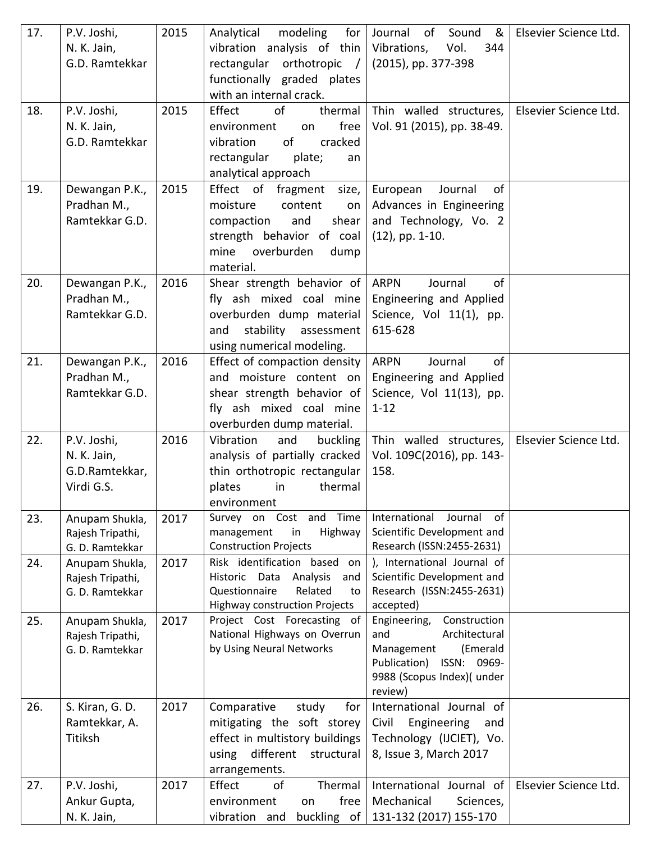| 17. | P.V. Joshi,<br>N. K. Jain,<br>G.D. Ramtekkar               | 2015 | modeling<br>for $ $<br>Analytical<br>vibration analysis of thin<br>rectangular orthotropic /<br>functionally graded plates<br>with an internal crack.       | Sound &<br>Journal of<br>Vibrations,<br>Vol.<br>344<br>(2015), pp. 377-398                                                                             | Elsevier Science Ltd. |
|-----|------------------------------------------------------------|------|-------------------------------------------------------------------------------------------------------------------------------------------------------------|--------------------------------------------------------------------------------------------------------------------------------------------------------|-----------------------|
| 18. | P.V. Joshi,<br>N. K. Jain,<br>G.D. Ramtekkar               | 2015 | thermal<br>Effect<br>of<br>free<br>environment<br>on<br>of<br>cracked<br>vibration<br>rectangular<br>plate;<br>an<br>analytical approach                    | Thin walled structures,<br>Vol. 91 (2015), pp. 38-49.                                                                                                  | Elsevier Science Ltd. |
| 19. | Dewangan P.K.,<br>Pradhan M.,<br>Ramtekkar G.D.            | 2015 | Effect of fragment size,<br>moisture<br>content<br>on<br>and<br>shear<br>compaction<br>strength behavior of coal<br>overburden<br>mine<br>dump<br>material. | of<br>European<br>Journal<br>Advances in Engineering<br>and Technology, Vo. 2<br>$(12)$ , pp. 1-10.                                                    |                       |
| 20. | Dewangan P.K.,<br>Pradhan M.,<br>Ramtekkar G.D.            | 2016 | Shear strength behavior of<br>fly ash mixed coal mine<br>overburden dump material<br>stability<br>assessment<br>and<br>using numerical modeling.            | of<br><b>ARPN</b><br>Journal<br>Engineering and Applied<br>Science, Vol 11(1), pp.<br>615-628                                                          |                       |
| 21. | Dewangan P.K.,<br>Pradhan M.,<br>Ramtekkar G.D.            | 2016 | Effect of compaction density<br>and moisture content on<br>shear strength behavior of<br>fly ash mixed coal mine<br>overburden dump material.               | of<br><b>ARPN</b><br>Journal<br>Engineering and Applied<br>Science, Vol 11(13), pp.<br>$1 - 12$                                                        |                       |
| 22. | P.V. Joshi,<br>N. K. Jain,<br>G.D.Ramtekkar,<br>Virdi G.S. | 2016 | Vibration<br>and<br>buckling<br>analysis of partially cracked<br>thin orthotropic rectangular<br>thermal<br>plates<br>in<br>environment                     | Thin walled structures,<br>Vol. 109C(2016), pp. 143-<br>158.                                                                                           | Elsevier Science Ltd. |
| 23. | Anupam Shukla,<br>Rajesh Tripathi,<br>G. D. Ramtekkar      | 2017 | Survey on Cost and Time<br>management<br>Highway<br>in<br><b>Construction Projects</b>                                                                      | International<br>Journal<br>of<br>Scientific Development and<br>Research (ISSN:2455-2631)                                                              |                       |
| 24. | Anupam Shukla,<br>Rajesh Tripathi,<br>G. D. Ramtekkar      | 2017 | Risk identification based on<br>Analysis<br>Historic Data<br>and<br>Questionnaire<br>Related<br>to<br><b>Highway construction Projects</b>                  | ), International Journal of<br>Scientific Development and<br>Research (ISSN:2455-2631)<br>accepted)                                                    |                       |
| 25. | Anupam Shukla,<br>Rajesh Tripathi,<br>G. D. Ramtekkar      | 2017 | Project Cost Forecasting of<br>National Highways on Overrun<br>by Using Neural Networks                                                                     | Engineering,<br>Construction<br>Architectural<br>and<br>(Emerald<br>Management<br>ISSN: 0969-<br>Publication)<br>9988 (Scopus Index)( under<br>review) |                       |
| 26. | S. Kiran, G. D.<br>Ramtekkar, A.<br>Titiksh                | 2017 | Comparative<br>for<br>study<br>mitigating the soft storey<br>effect in multistory buildings<br>different<br>structural<br>using<br>arrangements.            | International Journal of<br>Civil<br>Engineering<br>and<br>Technology (IJCIET), Vo.<br>8, Issue 3, March 2017                                          |                       |
| 27. | P.V. Joshi,<br>Ankur Gupta,<br>N. K. Jain,                 | 2017 | Effect<br>of<br>Thermal<br>free<br>environment<br>on<br>buckling of<br>vibration and                                                                        | International Journal of<br>Mechanical<br>Sciences,<br>131-132 (2017) 155-170                                                                          | Elsevier Science Ltd. |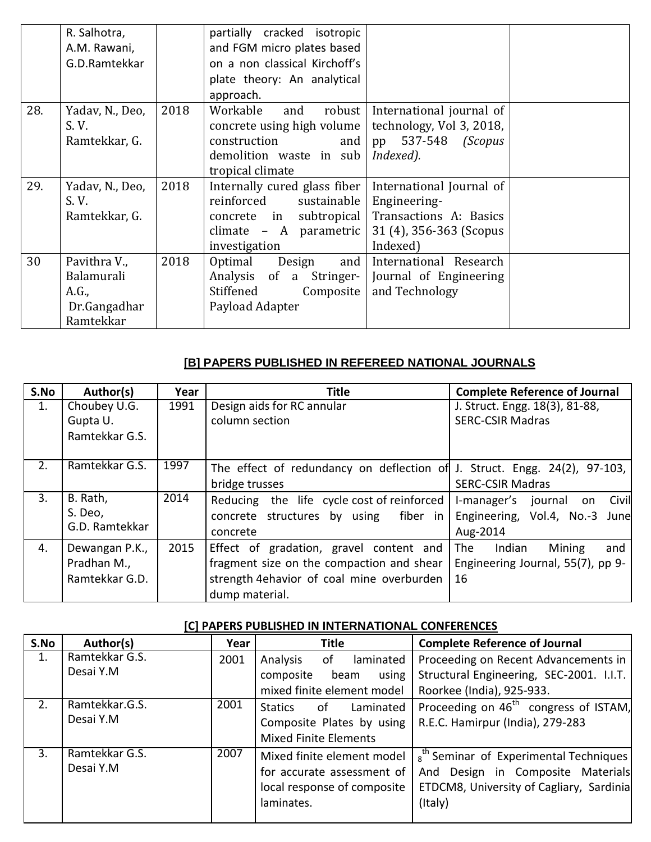|     | R. Salhotra,<br>A.M. Rawani,<br>G.D.Ramtekkar                    |      | partially cracked isotropic<br>and FGM micro plates based<br>on a non classical Kirchoff's                                                                 |                                                                                         |  |
|-----|------------------------------------------------------------------|------|------------------------------------------------------------------------------------------------------------------------------------------------------------|-----------------------------------------------------------------------------------------|--|
|     |                                                                  |      | plate theory: An analytical<br>approach.                                                                                                                   |                                                                                         |  |
| 28. | Yadav, N., Deo,<br>S.V.<br>Ramtekkar, G.                         | 2018 | Workable<br>robust<br>and<br>concrete using high volume<br>construction<br>and $ $<br>demolition waste in sub<br>tropical climate                          | International journal of<br>technology, Vol 3, 2018,<br>pp 537-548 (Scopus<br>Indexed). |  |
| 29. | Yadav, N., Deo,<br>S.V.<br>Ramtekkar, G.                         | 2018 | Internally cured glass fiber   International Journal of<br>reinforced<br>sustainable<br>concrete in subtropical<br>climate - A parametric<br>investigation | Engineering-<br>Transactions A: Basics<br>31 (4), 356-363 (Scopus<br>Indexed)           |  |
| 30  | Pavithra V.,<br>Balamurali<br>A.G.,<br>Dr.Gangadhar<br>Ramtekkar | 2018 | Optimal<br>Design<br>Analysis of a Stringer-<br>Stiffened<br>Composite<br>Payload Adapter                                                                  | and International Research<br>Journal of Engineering<br>and Technology                  |  |

## **[B] PAPERS PUBLISHED IN REFEREED NATIONAL JOURNALS**

| S.No | Author(s)                                       | Year | <b>Title</b>                                                                                                                                        | <b>Complete Reference of Journal</b>                                             |
|------|-------------------------------------------------|------|-----------------------------------------------------------------------------------------------------------------------------------------------------|----------------------------------------------------------------------------------|
| 1.   | Choubey U.G.<br>Gupta U.<br>Ramtekkar G.S.      | 1991 | Design aids for RC annular<br>column section                                                                                                        | J. Struct. Engg. 18(3), 81-88,<br><b>SERC-CSIR Madras</b>                        |
| 2.   | Ramtekkar G.S.                                  | 1997 | The effect of redundancy on deflection of J. Struct. Engg. 24(2), 97-103,<br>bridge trusses                                                         | <b>SERC-CSIR Madras</b>                                                          |
| 3.   | B. Rath,<br>S. Deo,<br>G.D. Ramtekkar           | 2014 | Reducing the life cycle cost of reinforced<br>fiber in<br>concrete structures by using<br>concrete                                                  | Civil<br>I-manager's<br>journal on<br>Engineering, Vol.4, No.-3 June<br>Aug-2014 |
| 4.   | Dewangan P.K.,<br>Pradhan M.,<br>Ramtekkar G.D. | 2015 | Effect of gradation, gravel content and<br>fragment size on the compaction and shear<br>strength 4ehavior of coal mine overburden<br>dump material. | Indian<br>Mining<br>The<br>and<br>Engineering Journal, 55(7), pp 9-<br>16        |

## **[C] PAPERS PUBLISHED IN INTERNATIONAL CONFERENCES**

| S.No | Author(s)      | Year | <b>Title</b>                       | <b>Complete Reference of Journal</b>              |
|------|----------------|------|------------------------------------|---------------------------------------------------|
| 1.   | Ramtekkar G.S. | 2001 | laminated<br>of<br>Analysis        | Proceeding on Recent Advancements in              |
|      | Desai Y.M      |      | using<br>composite<br>beam         | Structural Engineering, SEC-2001. I.I.T.          |
|      |                |      | mixed finite element model         | Roorkee (India), 925-933.                         |
| 2.   | Ramtekkar.G.S. | 2001 | Laminated<br><b>Statics</b><br>-of | Proceeding on 46 <sup>th</sup> congress of ISTAM, |
|      | Desai Y.M      |      | Composite Plates by using          | R.E.C. Hamirpur (India), 279-283                  |
|      |                |      | <b>Mixed Finite Elements</b>       |                                                   |
| 3.   | Ramtekkar G.S. | 2007 | Mixed finite element model         | $s^{th}$ Seminar of Experimental Techniques       |
|      | Desai Y.M      |      | for accurate assessment of         | And Design in Composite Materials                 |
|      |                |      | local response of composite        | ETDCM8, University of Cagliary, Sardinia          |
|      |                |      | laminates.                         | (Italy)                                           |
|      |                |      |                                    |                                                   |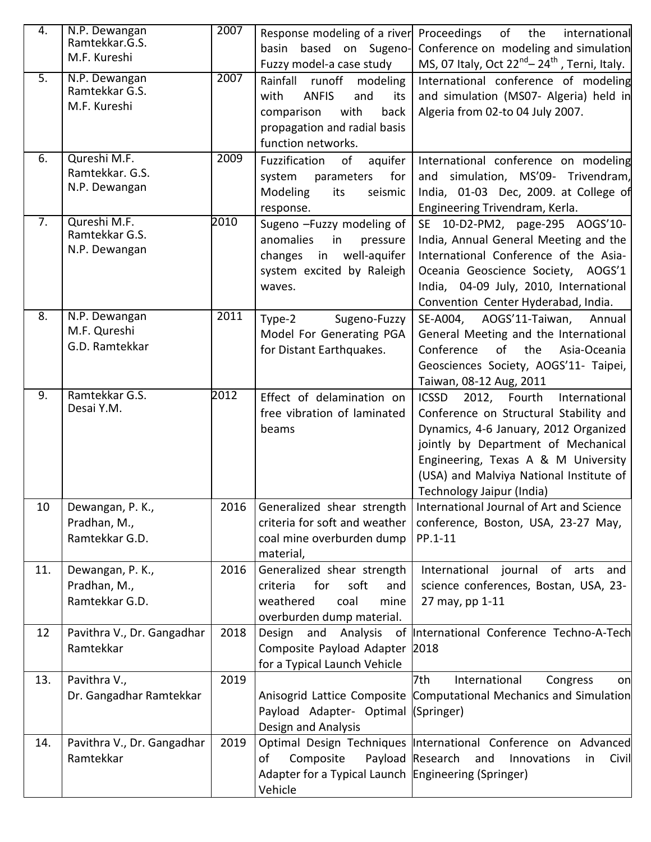| 4.               | N.P. Dewangan<br>Ramtekkar.G.S.                    | 2007 | Response modeling of a river                                                                                                                             | of<br>Proceedings<br>the<br>international                                                                                                                                                                                                                                              |
|------------------|----------------------------------------------------|------|----------------------------------------------------------------------------------------------------------------------------------------------------------|----------------------------------------------------------------------------------------------------------------------------------------------------------------------------------------------------------------------------------------------------------------------------------------|
|                  | M.F. Kureshi                                       |      | basin based on Sugeno-<br>Fuzzy model-a case study                                                                                                       | Conference on modeling and simulation<br>MS, 07 Italy, Oct $22^{nd}$ – $24^{th}$ , Terni, Italy.                                                                                                                                                                                       |
| 5.               | N.P. Dewangan<br>Ramtekkar G.S.<br>M.F. Kureshi    | 2007 | Rainfall<br>runoff<br>modeling<br><b>ANFIS</b><br>and<br>with<br>its<br>with<br>comparison<br>back<br>propagation and radial basis<br>function networks. | International conference of modeling<br>and simulation (MS07- Algeria) held in<br>Algeria from 02-to 04 July 2007.                                                                                                                                                                     |
| $\overline{6}$ . | Qureshi M.F.<br>Ramtekkar. G.S.<br>N.P. Dewangan   | 2009 | Fuzzification<br>aquifer<br>of<br>for<br>system<br>parameters<br>Modeling<br>seismic<br>its<br>response.                                                 | International conference on modeling<br>simulation, MS'09- Trivendram,<br>and<br>India, 01-03 Dec, 2009. at College of<br>Engineering Trivendram, Kerla.                                                                                                                               |
| $\overline{7}$ . | Qureshi M.F.<br>Ramtekkar G.S.<br>N.P. Dewangan    | 2010 | Sugeno -Fuzzy modeling of<br>anomalies<br>in<br>pressure<br>well-aquifer<br>changes<br>in<br>system excited by Raleigh<br>waves.                         | SE 10-D2-PM2, page-295 AOGS'10-<br>India, Annual General Meeting and the<br>International Conference of the Asia-<br>Oceania Geoscience Society, AOGS'1<br>India, 04-09 July, 2010, International<br>Convention Center Hyderabad, India.                                               |
| 8.               | N.P. Dewangan<br>M.F. Qureshi<br>G.D. Ramtekkar    | 2011 | Type-2<br>Sugeno-Fuzzy<br>Model For Generating PGA<br>for Distant Earthquakes.                                                                           | AOGS'11-Taiwan,<br>SE-A004,<br>Annual<br>General Meeting and the International<br>of<br>the<br>Conference<br>Asia-Oceania<br>Geosciences Society, AOGS'11- Taipei,<br>Taiwan, 08-12 Aug, 2011                                                                                          |
| 9.               | Ramtekkar G.S.<br>Desai Y.M.                       | 2012 | Effect of delamination on<br>free vibration of laminated<br>beams                                                                                        | <b>ICSSD</b><br>2012, Fourth<br>International<br>Conference on Structural Stability and<br>Dynamics, 4-6 January, 2012 Organized<br>jointly by Department of Mechanical<br>Engineering, Texas A & M University<br>(USA) and Malviya National Institute of<br>Technology Jaipur (India) |
| 10               | Dewangan, P. K.,<br>Pradhan, M.,<br>Ramtekkar G.D. | 2016 | Generalized shear strength<br>criteria for soft and weather<br>coal mine overburden dump<br>material,                                                    | International Journal of Art and Science<br>conference, Boston, USA, 23-27 May,<br>PP.1-11                                                                                                                                                                                             |
| 11.              | Dewangan, P. K.,<br>Pradhan, M.,<br>Ramtekkar G.D. | 2016 | Generalized shear strength<br>for<br>soft<br>criteria<br>and<br>weathered<br>mine<br>coal<br>overburden dump material.                                   | International journal of arts and<br>science conferences, Bostan, USA, 23-<br>27 may, pp 1-11                                                                                                                                                                                          |
| 12               | Pavithra V., Dr. Gangadhar<br>Ramtekkar            | 2018 | Design<br>and<br>Composite Payload Adapter 2018<br>for a Typical Launch Vehicle                                                                          | Analysis of International Conference Techno-A-Tech                                                                                                                                                                                                                                     |
| 13.              | Pavithra V.,<br>Dr. Gangadhar Ramtekkar            | 2019 | Payload Adapter- Optimal (Springer)<br>Design and Analysis                                                                                               | International<br>7th<br>Congress<br>onl<br>Anisogrid Lattice Composite Computational Mechanics and Simulation                                                                                                                                                                          |
| 14.              | Pavithra V., Dr. Gangadhar<br>Ramtekkar            | 2019 | Composite<br>of<br>Adapter for a Typical Launch Engineering (Springer)<br>Vehicle                                                                        | Optimal Design Techniques International Conference on Advanced<br>Payload Research<br>and<br>Innovations<br>Civil<br>in                                                                                                                                                                |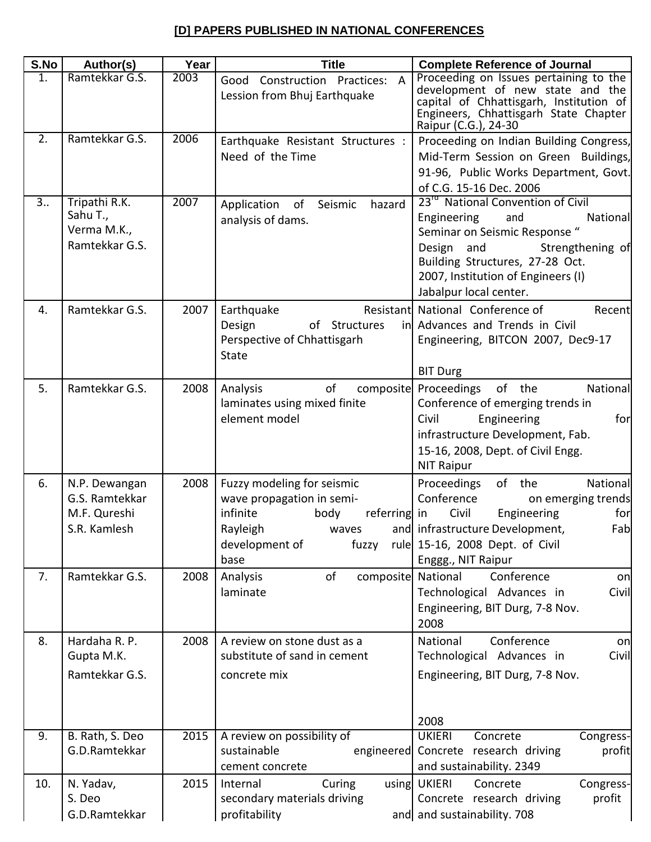## **[D] PAPERS PUBLISHED IN NATIONAL CONFERENCES**

| S.No | Author(s)                                                       | Year | <b>Title</b>                                                                                                                               | <b>Complete Reference of Journal</b>                                                                                                                                                                                                                  |
|------|-----------------------------------------------------------------|------|--------------------------------------------------------------------------------------------------------------------------------------------|-------------------------------------------------------------------------------------------------------------------------------------------------------------------------------------------------------------------------------------------------------|
| 1.   | Ramtekkar G.S.                                                  | 2003 | Good Construction Practices: A<br>Lession from Bhuj Earthquake                                                                             | Proceeding on Issues pertaining to the<br>development of new state and the<br>capital of Chhattisgarh, Institution of<br>Engineers, Chhattisgarh State Chapter<br>Raipur (C.G.), 24-30                                                                |
| 2.   | Ramtekkar G.S.                                                  | 2006 | Earthquake Resistant Structures :<br>Need of the Time                                                                                      | Proceeding on Indian Building Congress,<br>Mid-Term Session on Green Buildings,<br>91-96, Public Works Department, Govt.<br>of C.G. 15-16 Dec. 2006                                                                                                   |
| 3    | Tripathi R.K.<br>Sahu T.,<br>Verma M.K.,<br>Ramtekkar G.S.      | 2007 | Application of Seismic<br>hazard<br>analysis of dams.                                                                                      | 23 <sup>rd</sup> National Convention of Civil<br>Engineering<br>and<br>National<br>Seminar on Seismic Response "<br>Design and<br>Strengthening of<br>Building Structures, 27-28 Oct.<br>2007, Institution of Engineers (I)<br>Jabalpur local center. |
| 4.   | Ramtekkar G.S.                                                  | 2007 | Earthquake<br>Design<br>of Structures<br>Perspective of Chhattisgarh<br><b>State</b>                                                       | Resistant National Conference of<br>Recent<br>in Advances and Trends in Civil<br>Engineering, BITCON 2007, Dec9-17<br><b>BIT Durg</b>                                                                                                                 |
| 5.   | Ramtekkar G.S.                                                  | 2008 | of<br>Analysis<br>composite<br>laminates using mixed finite<br>element model                                                               | Proceedings of the<br>National<br>Conference of emerging trends in<br>Civil<br>Engineering<br>for<br>infrastructure Development, Fab.<br>15-16, 2008, Dept. of Civil Engg.<br><b>NIT Raipur</b>                                                       |
| 6.   | N.P. Dewangan<br>G.S. Ramtekkar<br>M.F. Qureshi<br>S.R. Kamlesh | 2008 | Fuzzy modeling for seismic<br>wave propagation in semi-<br>infinite<br>body<br>referring in<br>Rayleigh<br>waves<br>development of<br>base | of the<br>Proceedings<br>National<br>Conference<br>on emerging trends<br>Civil<br>Engineering<br>for<br>and infrastructure Development,<br>Fab<br>fuzzy rule 15-16, 2008 Dept. of Civil<br>Enggg., NIT Raipur                                         |
| 7.   | Ramtekkar G.S.                                                  | 2008 | of<br>composite National<br>Analysis<br>laminate                                                                                           | Conference<br>on<br>Technological Advances in<br>Civil<br>Engineering, BIT Durg, 7-8 Nov.<br>2008                                                                                                                                                     |
| 8.   | Hardaha R. P.<br>Gupta M.K.<br>Ramtekkar G.S.                   | 2008 | A review on stone dust as a<br>substitute of sand in cement<br>concrete mix                                                                | National<br>Conference<br>on<br>Technological Advances in<br>Civil<br>Engineering, BIT Durg, 7-8 Nov.<br>2008                                                                                                                                         |
| 9.   | B. Rath, S. Deo<br>G.D.Ramtekkar                                | 2015 | A review on possibility of<br>sustainable<br>cement concrete                                                                               | <b>UKIERI</b><br>Congress-<br>Concrete<br>engineered Concrete research driving<br>profit<br>and sustainability. 2349                                                                                                                                  |
| 10.  | N. Yadav,<br>S. Deo<br>G.D.Ramtekkar                            | 2015 | Internal<br>Curing<br>secondary materials driving<br>profitability                                                                         | using UKIERI<br>Concrete<br>Congress-<br>Concrete research driving<br>profit<br>and and sustainability. 708                                                                                                                                           |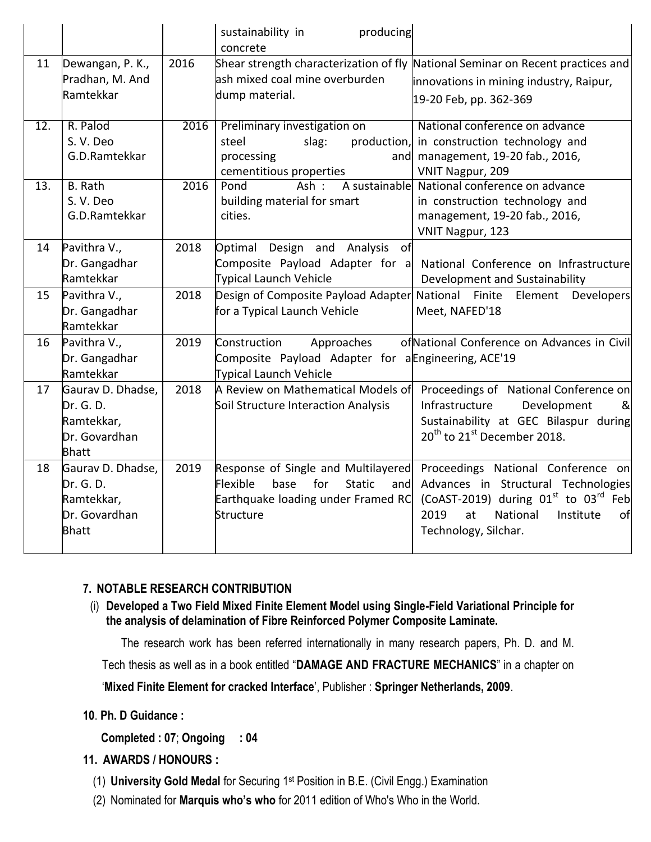|                   |                                                                               |      | producing<br>sustainability in<br>concrete                                                                                                |                                                                                                                                                                                            |
|-------------------|-------------------------------------------------------------------------------|------|-------------------------------------------------------------------------------------------------------------------------------------------|--------------------------------------------------------------------------------------------------------------------------------------------------------------------------------------------|
| 11                | Dewangan, P. K.,<br>Pradhan, M. And<br>Ramtekkar                              | 2016 | lash mixed coal mine overburden<br>dump material.                                                                                         | Shear strength characterization of fly National Seminar on Recent practices and<br>innovations in mining industry, Raipur,<br>19-20 Feb, pp. 362-369                                       |
| $\overline{12}$ . | R. Palod<br>S.V.Deo<br>G.D.Ramtekkar                                          | 2016 | Preliminary investigation on<br>steel<br>slag:<br>processing<br>cementitious properties                                                   | National conference on advance<br>production, in construction technology and<br>and management, 19-20 fab., 2016,<br>VNIT Nagpur, 209                                                      |
| 13.               | <b>B.</b> Rath<br>S.V.Deo<br>G.D.Ramtekkar                                    | 2016 | Pond<br>Ash:<br>building material for smart<br>cities.                                                                                    | A sustainable National conference on advance<br>in construction technology and<br>management, 19-20 fab., 2016,<br>VNIT Nagpur, 123                                                        |
| 14                | Pavithra V.,<br>Dr. Gangadhar<br>Ramtekkar                                    | 2018 | Optimal Design and Analysis<br>of<br>Composite Payload Adapter for a<br>Typical Launch Vehicle                                            | National Conference on Infrastructure<br>Development and Sustainability                                                                                                                    |
| 15                | Pavithra V.,<br>Dr. Gangadhar<br>Ramtekkar                                    | 2018 | Design of Composite Payload Adapter National Finite<br>for a Typical Launch Vehicle                                                       | Element<br><b>Developers</b><br>Meet, NAFED'18                                                                                                                                             |
| 16                | Pavithra V.,<br>Dr. Gangadhar<br>Ramtekkar                                    | 2019 | Construction<br>Approaches<br>Composite Payload Adapter for a Engineering, ACE'19<br>Typical Launch Vehicle                               | of National Conference on Advances in Civil                                                                                                                                                |
| 17                | Gaurav D. Dhadse,<br>Dr. G. D.<br>Ramtekkar,<br>Dr. Govardhan<br><b>Bhatt</b> | 2018 | A Review on Mathematical Models of<br>Soil Structure Interaction Analysis                                                                 | Proceedings of National Conference on<br>Infrastructure<br>Development<br>&<br>Sustainability at GEC Bilaspur during<br>20 <sup>th</sup> to 21 <sup>st</sup> December 2018.                |
| 18                | Gaurav D. Dhadse,<br>Dr. G. D.<br>Ramtekkar,<br>Dr. Govardhan<br><b>Bhatt</b> | 2019 | Response of Single and Multilayered<br>Flexible<br>base<br>for<br><b>Static</b><br>and<br>Earthquake loading under Framed RC<br>Structure | Proceedings National Conference on<br>Advances in Structural Technologies<br>(CoAST-2019) during $01st$ to $03rd$ Feb<br>2019<br>at<br>National<br>Institute<br>of<br>Technology, Silchar. |

### **7. NOTABLE RESEARCH CONTRIBUTION**

(i) **Developed a Two Field Mixed Finite Element Model using Single-Field Variational Principle for the analysis of delamination of Fibre Reinforced Polymer Composite Laminate.**

The research work has been referred internationally in many research papers, Ph. D. and M.

Tech thesis as well as in a book entitled "**DAMAGE AND FRACTURE MECHANICS**" in a chapter on

"**Mixed Finite Element for cracked Interface**", Publisher : **Springer Netherlands, 2009**.

### **10**. **Ph. D Guidance :**

**Completed : 07**; **Ongoing : 04**

## **11. AWARDS / HONOURS :**

- (1) **University Gold Medal** for Securing 1st Position in B.E. (Civil Engg.) Examination
- (2) Nominated for **Marquis who's who** for 2011 edition of Who's Who in the World.